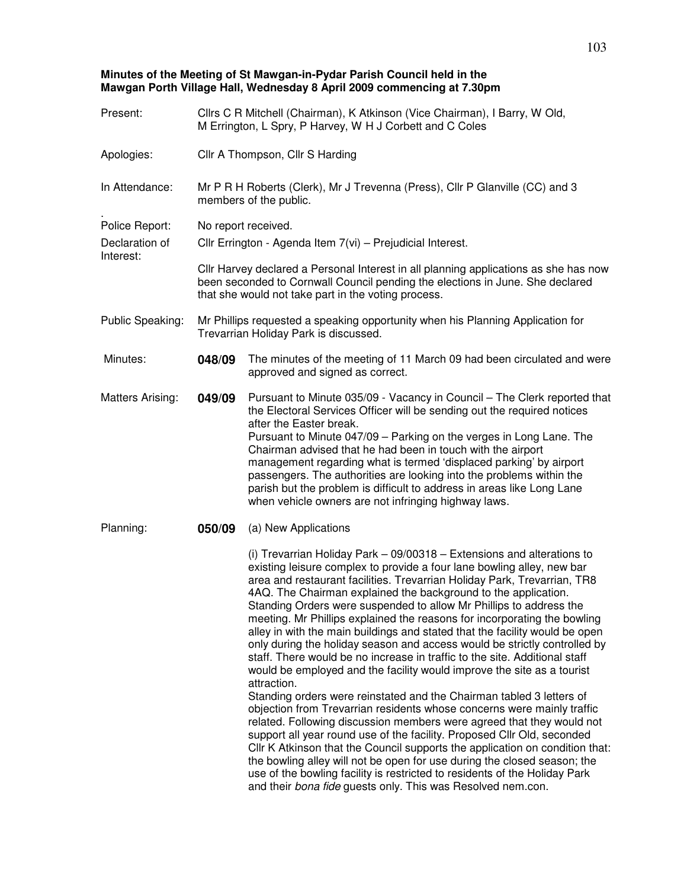## **Minutes of the Meeting of St Mawgan-in-Pydar Parish Council held in the Mawgan Porth Village Hall, Wednesday 8 April 2009 commencing at 7.30pm**

| Present:                    | Cllrs C R Mitchell (Chairman), K Atkinson (Vice Chairman), I Barry, W Old,<br>M Errington, L Spry, P Harvey, W H J Corbett and C Coles                                                                                       |                                                                                                                                                                                                                                                                                                                                                                                                                                                                                                                                                                                                                                                                                                                                                                                                                                                                                                                                                                                                                                                                                                                                                                                                                                                                                                                                                                                                    |  |  |
|-----------------------------|------------------------------------------------------------------------------------------------------------------------------------------------------------------------------------------------------------------------------|----------------------------------------------------------------------------------------------------------------------------------------------------------------------------------------------------------------------------------------------------------------------------------------------------------------------------------------------------------------------------------------------------------------------------------------------------------------------------------------------------------------------------------------------------------------------------------------------------------------------------------------------------------------------------------------------------------------------------------------------------------------------------------------------------------------------------------------------------------------------------------------------------------------------------------------------------------------------------------------------------------------------------------------------------------------------------------------------------------------------------------------------------------------------------------------------------------------------------------------------------------------------------------------------------------------------------------------------------------------------------------------------------|--|--|
| Apologies:                  | Cllr A Thompson, Cllr S Harding                                                                                                                                                                                              |                                                                                                                                                                                                                                                                                                                                                                                                                                                                                                                                                                                                                                                                                                                                                                                                                                                                                                                                                                                                                                                                                                                                                                                                                                                                                                                                                                                                    |  |  |
| In Attendance:              | Mr P R H Roberts (Clerk), Mr J Trevenna (Press), Cllr P Glanville (CC) and 3<br>members of the public.                                                                                                                       |                                                                                                                                                                                                                                                                                                                                                                                                                                                                                                                                                                                                                                                                                                                                                                                                                                                                                                                                                                                                                                                                                                                                                                                                                                                                                                                                                                                                    |  |  |
| Police Report:              | No report received.                                                                                                                                                                                                          |                                                                                                                                                                                                                                                                                                                                                                                                                                                                                                                                                                                                                                                                                                                                                                                                                                                                                                                                                                                                                                                                                                                                                                                                                                                                                                                                                                                                    |  |  |
| Declaration of<br>Interest: | Cllr Errington - Agenda Item 7(vi) - Prejudicial Interest.                                                                                                                                                                   |                                                                                                                                                                                                                                                                                                                                                                                                                                                                                                                                                                                                                                                                                                                                                                                                                                                                                                                                                                                                                                                                                                                                                                                                                                                                                                                                                                                                    |  |  |
|                             | CIIr Harvey declared a Personal Interest in all planning applications as she has now<br>been seconded to Cornwall Council pending the elections in June. She declared<br>that she would not take part in the voting process. |                                                                                                                                                                                                                                                                                                                                                                                                                                                                                                                                                                                                                                                                                                                                                                                                                                                                                                                                                                                                                                                                                                                                                                                                                                                                                                                                                                                                    |  |  |
| Public Speaking:            | Mr Phillips requested a speaking opportunity when his Planning Application for<br>Trevarrian Holiday Park is discussed.                                                                                                      |                                                                                                                                                                                                                                                                                                                                                                                                                                                                                                                                                                                                                                                                                                                                                                                                                                                                                                                                                                                                                                                                                                                                                                                                                                                                                                                                                                                                    |  |  |
| Minutes:                    | 048/09                                                                                                                                                                                                                       | The minutes of the meeting of 11 March 09 had been circulated and were<br>approved and signed as correct.                                                                                                                                                                                                                                                                                                                                                                                                                                                                                                                                                                                                                                                                                                                                                                                                                                                                                                                                                                                                                                                                                                                                                                                                                                                                                          |  |  |
| <b>Matters Arising:</b>     | 049/09                                                                                                                                                                                                                       | Pursuant to Minute 035/09 - Vacancy in Council - The Clerk reported that<br>the Electoral Services Officer will be sending out the required notices<br>after the Easter break.<br>Pursuant to Minute 047/09 - Parking on the verges in Long Lane. The<br>Chairman advised that he had been in touch with the airport<br>management regarding what is termed 'displaced parking' by airport<br>passengers. The authorities are looking into the problems within the<br>parish but the problem is difficult to address in areas like Long Lane<br>when vehicle owners are not infringing highway laws.                                                                                                                                                                                                                                                                                                                                                                                                                                                                                                                                                                                                                                                                                                                                                                                               |  |  |
| Planning:                   | 050/09                                                                                                                                                                                                                       | (a) New Applications                                                                                                                                                                                                                                                                                                                                                                                                                                                                                                                                                                                                                                                                                                                                                                                                                                                                                                                                                                                                                                                                                                                                                                                                                                                                                                                                                                               |  |  |
|                             |                                                                                                                                                                                                                              | (i) Trevarrian Holiday Park - 09/00318 - Extensions and alterations to<br>existing leisure complex to provide a four lane bowling alley, new bar<br>area and restaurant facilities. Trevarrian Holiday Park, Trevarrian, TR8<br>4AQ. The Chairman explained the background to the application.<br>Standing Orders were suspended to allow Mr Phillips to address the<br>meeting. Mr Phillips explained the reasons for incorporating the bowling<br>alley in with the main buildings and stated that the facility would be open<br>only during the holiday season and access would be strictly controlled by<br>staff. There would be no increase in traffic to the site. Additional staff<br>would be employed and the facility would improve the site as a tourist<br>attraction.<br>Standing orders were reinstated and the Chairman tabled 3 letters of<br>objection from Trevarrian residents whose concerns were mainly traffic<br>related. Following discussion members were agreed that they would not<br>support all year round use of the facility. Proposed Cllr Old, seconded<br>Cllr K Atkinson that the Council supports the application on condition that:<br>the bowling alley will not be open for use during the closed season; the<br>use of the bowling facility is restricted to residents of the Holiday Park<br>and their bona fide guests only. This was Resolved nem.con. |  |  |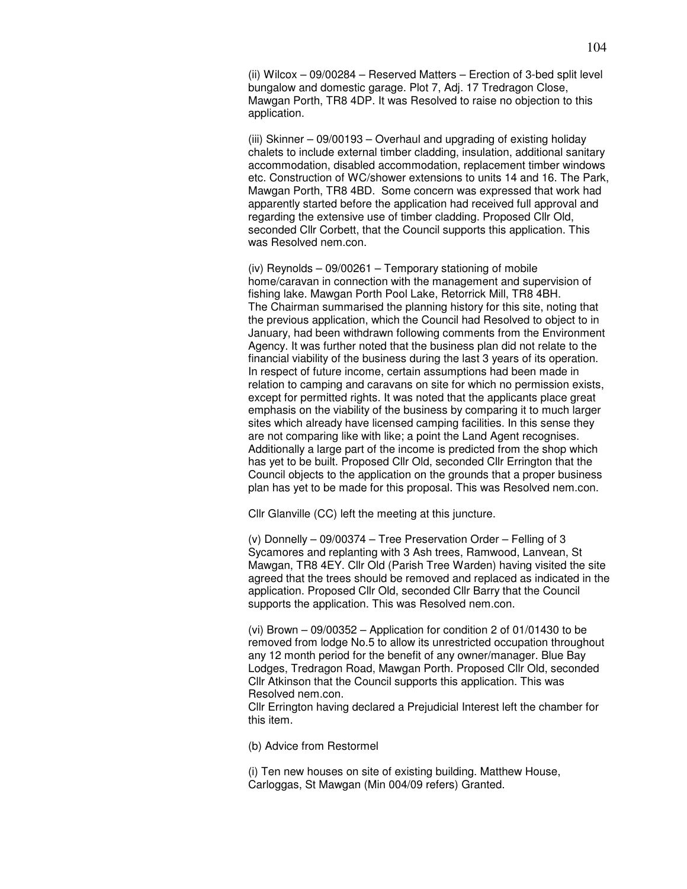(ii) Wilcox – 09/00284 – Reserved Matters – Erection of 3-bed split level bungalow and domestic garage. Plot 7, Adj. 17 Tredragon Close, Mawgan Porth, TR8 4DP. It was Resolved to raise no objection to this application.

(iii) Skinner – 09/00193 – Overhaul and upgrading of existing holiday chalets to include external timber cladding, insulation, additional sanitary accommodation, disabled accommodation, replacement timber windows etc. Construction of WC/shower extensions to units 14 and 16. The Park, Mawgan Porth, TR8 4BD. Some concern was expressed that work had apparently started before the application had received full approval and regarding the extensive use of timber cladding. Proposed Cllr Old, seconded Cllr Corbett, that the Council supports this application. This was Resolved nem.con.

(iv) Reynolds – 09/00261 – Temporary stationing of mobile home/caravan in connection with the management and supervision of fishing lake. Mawgan Porth Pool Lake, Retorrick Mill, TR8 4BH. The Chairman summarised the planning history for this site, noting that the previous application, which the Council had Resolved to object to in January, had been withdrawn following comments from the Environment Agency. It was further noted that the business plan did not relate to the financial viability of the business during the last 3 years of its operation. In respect of future income, certain assumptions had been made in relation to camping and caravans on site for which no permission exists, except for permitted rights. It was noted that the applicants place great emphasis on the viability of the business by comparing it to much larger sites which already have licensed camping facilities. In this sense they are not comparing like with like; a point the Land Agent recognises. Additionally a large part of the income is predicted from the shop which has yet to be built. Proposed Cllr Old, seconded Cllr Errington that the Council objects to the application on the grounds that a proper business plan has yet to be made for this proposal. This was Resolved nem.con.

Cllr Glanville (CC) left the meeting at this juncture.

(v) Donnelly – 09/00374 – Tree Preservation Order – Felling of 3 Sycamores and replanting with 3 Ash trees, Ramwood, Lanvean, St Mawgan, TR8 4EY. Cllr Old (Parish Tree Warden) having visited the site agreed that the trees should be removed and replaced as indicated in the application. Proposed Cllr Old, seconded Cllr Barry that the Council supports the application. This was Resolved nem.con.

(vi) Brown – 09/00352 – Application for condition 2 of 01/01430 to be removed from lodge No.5 to allow its unrestricted occupation throughout any 12 month period for the benefit of any owner/manager. Blue Bay Lodges, Tredragon Road, Mawgan Porth. Proposed Cllr Old, seconded Cllr Atkinson that the Council supports this application. This was Resolved nem.con.

Cllr Errington having declared a Prejudicial Interest left the chamber for this item.

(b) Advice from Restormel

(i) Ten new houses on site of existing building. Matthew House, Carloggas, St Mawgan (Min 004/09 refers) Granted.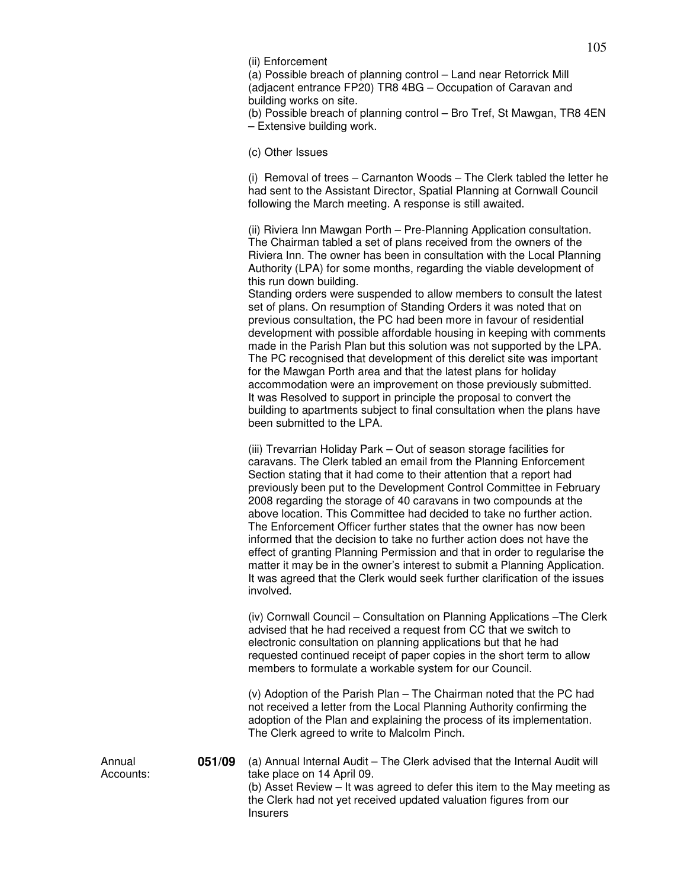(ii) Enforcement

(a) Possible breach of planning control – Land near Retorrick Mill (adjacent entrance FP20) TR8 4BG – Occupation of Caravan and building works on site.

(b) Possible breach of planning control – Bro Tref, St Mawgan, TR8 4EN – Extensive building work.

(c) Other Issues

(i) Removal of trees – Carnanton Woods – The Clerk tabled the letter he had sent to the Assistant Director, Spatial Planning at Cornwall Council following the March meeting. A response is still awaited.

(ii) Riviera Inn Mawgan Porth – Pre-Planning Application consultation. The Chairman tabled a set of plans received from the owners of the Riviera Inn. The owner has been in consultation with the Local Planning Authority (LPA) for some months, regarding the viable development of this run down building.

Standing orders were suspended to allow members to consult the latest set of plans. On resumption of Standing Orders it was noted that on previous consultation, the PC had been more in favour of residential development with possible affordable housing in keeping with comments made in the Parish Plan but this solution was not supported by the LPA. The PC recognised that development of this derelict site was important for the Mawgan Porth area and that the latest plans for holiday accommodation were an improvement on those previously submitted. It was Resolved to support in principle the proposal to convert the building to apartments subject to final consultation when the plans have been submitted to the LPA.

(iii) Trevarrian Holiday Park – Out of season storage facilities for caravans. The Clerk tabled an email from the Planning Enforcement Section stating that it had come to their attention that a report had previously been put to the Development Control Committee in February 2008 regarding the storage of 40 caravans in two compounds at the above location. This Committee had decided to take no further action. The Enforcement Officer further states that the owner has now been informed that the decision to take no further action does not have the effect of granting Planning Permission and that in order to regularise the matter it may be in the owner's interest to submit a Planning Application. It was agreed that the Clerk would seek further clarification of the issues involved.

(iv) Cornwall Council – Consultation on Planning Applications –The Clerk advised that he had received a request from CC that we switch to electronic consultation on planning applications but that he had requested continued receipt of paper copies in the short term to allow members to formulate a workable system for our Council.

(v) Adoption of the Parish Plan – The Chairman noted that the PC had not received a letter from the Local Planning Authority confirming the adoption of the Plan and explaining the process of its implementation. The Clerk agreed to write to Malcolm Pinch.

**051/09** (a) Annual Internal Audit – The Clerk advised that the Internal Audit will take place on 14 April 09. (b) Asset Review – It was agreed to defer this item to the May meeting as the Clerk had not yet received updated valuation figures from our **Insurers** 

Annual Accounts: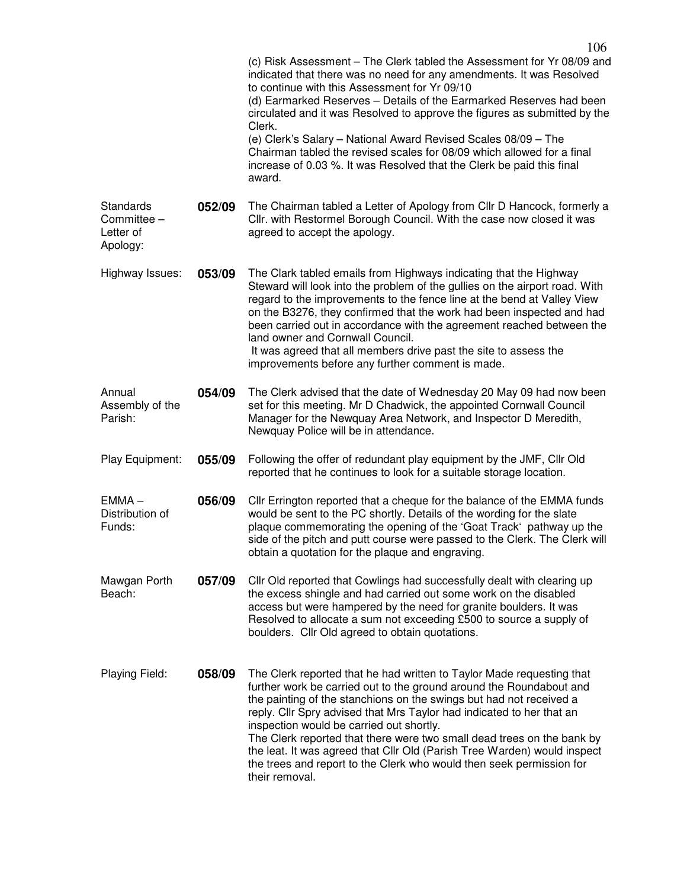|                                                   |        | 106<br>(c) Risk Assessment - The Clerk tabled the Assessment for Yr 08/09 and<br>indicated that there was no need for any amendments. It was Resolved<br>to continue with this Assessment for Yr 09/10<br>(d) Earmarked Reserves - Details of the Earmarked Reserves had been<br>circulated and it was Resolved to approve the figures as submitted by the<br>Clerk.<br>(e) Clerk's Salary - National Award Revised Scales 08/09 - The<br>Chairman tabled the revised scales for 08/09 which allowed for a final<br>increase of 0.03 %. It was Resolved that the Clerk be paid this final<br>award. |
|---------------------------------------------------|--------|-----------------------------------------------------------------------------------------------------------------------------------------------------------------------------------------------------------------------------------------------------------------------------------------------------------------------------------------------------------------------------------------------------------------------------------------------------------------------------------------------------------------------------------------------------------------------------------------------------|
| Standards<br>Committee -<br>Letter of<br>Apology: | 052/09 | The Chairman tabled a Letter of Apology from Cllr D Hancock, formerly a<br>Cllr. with Restormel Borough Council. With the case now closed it was<br>agreed to accept the apology.                                                                                                                                                                                                                                                                                                                                                                                                                   |
| Highway Issues:                                   | 053/09 | The Clark tabled emails from Highways indicating that the Highway<br>Steward will look into the problem of the gullies on the airport road. With<br>regard to the improvements to the fence line at the bend at Valley View<br>on the B3276, they confirmed that the work had been inspected and had<br>been carried out in accordance with the agreement reached between the<br>land owner and Cornwall Council.<br>It was agreed that all members drive past the site to assess the<br>improvements before any further comment is made.                                                           |
| Annual<br>Assembly of the<br>Parish:              | 054/09 | The Clerk advised that the date of Wednesday 20 May 09 had now been<br>set for this meeting. Mr D Chadwick, the appointed Cornwall Council<br>Manager for the Newquay Area Network, and Inspector D Meredith,<br>Newquay Police will be in attendance.                                                                                                                                                                                                                                                                                                                                              |
| Play Equipment:                                   | 055/09 | Following the offer of redundant play equipment by the JMF, CIIr Old<br>reported that he continues to look for a suitable storage location.                                                                                                                                                                                                                                                                                                                                                                                                                                                         |
| $EMMA -$<br>Distribution of<br>Funds:             | 056/09 | Cllr Errington reported that a cheque for the balance of the EMMA funds<br>would be sent to the PC shortly. Details of the wording for the slate<br>plaque commemorating the opening of the 'Goat Track' pathway up the<br>side of the pitch and putt course were passed to the Clerk. The Clerk will<br>obtain a quotation for the plaque and engraving.                                                                                                                                                                                                                                           |
| Mawgan Porth<br>Beach:                            | 057/09 | CIIr Old reported that Cowlings had successfully dealt with clearing up<br>the excess shingle and had carried out some work on the disabled<br>access but were hampered by the need for granite boulders. It was<br>Resolved to allocate a sum not exceeding £500 to source a supply of<br>boulders. Cllr Old agreed to obtain quotations.                                                                                                                                                                                                                                                          |
| Playing Field:                                    | 058/09 | The Clerk reported that he had written to Taylor Made requesting that<br>further work be carried out to the ground around the Roundabout and<br>the painting of the stanchions on the swings but had not received a<br>reply. Cllr Spry advised that Mrs Taylor had indicated to her that an<br>inspection would be carried out shortly.<br>The Clerk reported that there were two small dead trees on the bank by<br>the leat. It was agreed that Cllr Old (Parish Tree Warden) would inspect<br>the trees and report to the Clerk who would then seek permission for<br>their removal.            |